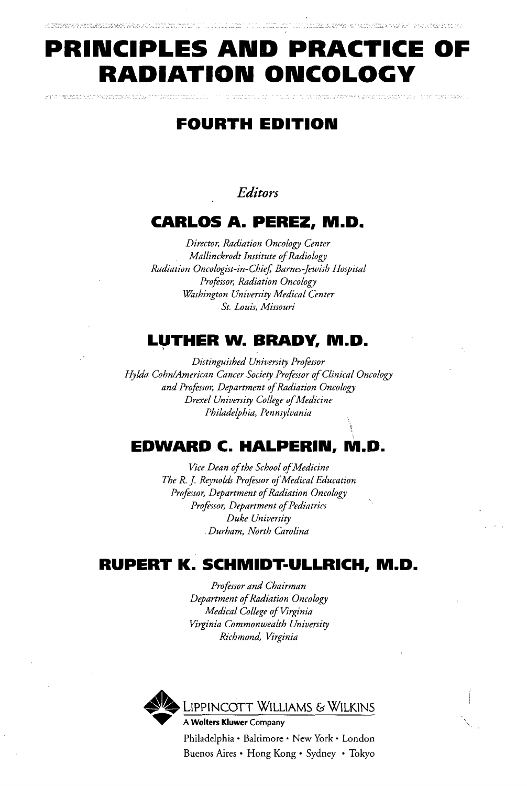# **PRINCIPLES AND PRACTICE OF RADIATION ONCOLOGY**

# **FOURTH EDITION**

uterial shape average is una hyperatore

### **Editors**

### **CARLOS A. PEREZ, M.D.**

*Director, Radiation Oncology Center Mallinckrodt Institute of Radiology Radiation Oncologist-in-Chief Barnes-Jewish Hospital Professor, Radiation Oncology Washington University Medical Center St. Louis, Missouri*

### **LUTHER W. BRADY, M.D.**

*Distinguished University Professor Hylda CohnlAmerican Cancer Society Professor of Clinical Oncology and Professor, Department of Radiation Oncology Drexel University College of Medicine Philadelphia, Pennsylvania*

# **EDWARD C. HALPERIIU, M.D.**

*Vice Dean of the School of Medicine The R. J. Reynolds Professor of Medical Education Professor, Department of Radiation Oncology Professor, Department of Pediatrics Duke University Durham, North Carolina*

# **RUPERT K. SCHMIDT-ULLRICH, M.D.**

*Professor and Chairman Department of Radiation Oncology Medical College of Virginia Virginia Commonwealth University Richmond, Virginia*



Philadelphia • Baltimore • New York • London Buenos Aires • Hong Kong • Sydney • Tokyo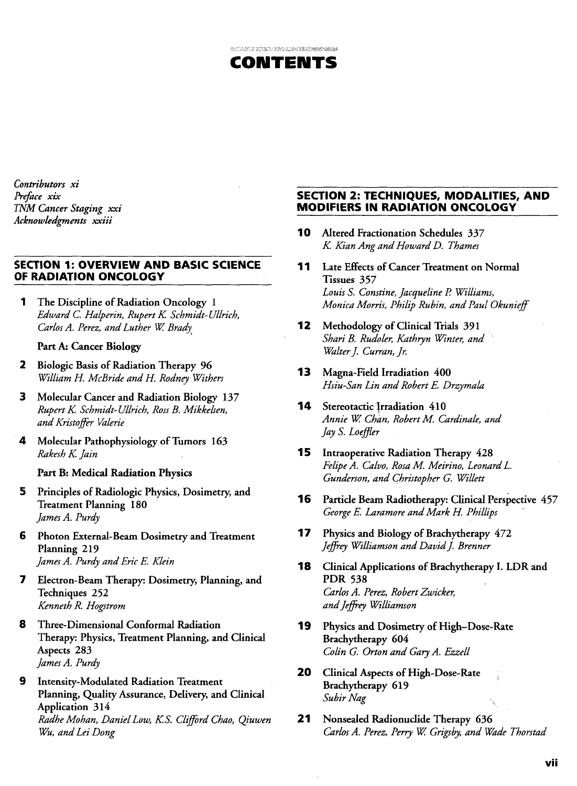

*Contributors xi Preface xix TNM Cancer Staging xxi Acknowledgments xxiii*

#### **SECTION 1: OVERVIEW AND BASIC SCIENCE OF RADIATION ONCOLOGY**

1 The Discipline of Radiation Oncology 1 *Edward C. Halperin, RupertK. Schmidt-Ullrich, Carlos A. Perez, and Luther W. Brady*

#### Part A: Cancer Biology

- 2 Biologic Basis of Radiation Therapy 96 *William H. McBride and H. Rodney Withers*
- 3 Molecular Cancer and Radiation Biology 137 *RupertK. Schmidt-Ullrich, Ross B. Mikkelsen, and Kristoffer Valerie*
- 4 Molecular Pathophysiology of Tumors 163 *Rakesh K. Jain*

#### Part B: Medical Radiation Physics

- 5 Principles of Radiologic Physics, Dosimetry, and Treatment Planning 180 *James A. Purdy*
- 6 Photon External-Beam Dosimetry and Treatment Planning 219 *James A. Purdy and Eric E. Klein*
- 7 Electron-Beam Therapy: Dosimetry, Planning, and Techniques 252 *Kenneth R. Hogstrom*
- 8 Three-Dimensional Conformal Radiation Therapy: Physics, Treatment Planning, and Clinical Aspects 283 *James A. Purdy*
- 9 Intensity-Modulated Radiation Treatment Planning, Quality Assurance, Delivery, and Clinical Application 314 *Radhe Mohan, Daniel Low, K.S. Clifford Chao, Qiuwen Wu, and Lei Dong*

#### **SECTION 2: TECHNIQUES, MODALITIES, AND MODIFIERS IN RADIATION ONCOLOGY**

- 10 Altered Fractionation Schedules 337 *K. Kian Ang and Howard D. Thames*
- 11 Late Effects of Cancer Treatment on Normal Tissues 357 *Louis S. Constine, Jacqueline P. Williams, Monica Morris, Philip Rubin, and Paul Okunieff*
- 12 Methodology of Clinical Trials 391 *Shari B. Rudoler, Kathryn Winter, and Walter J. Curran, Jr.*
- 13 Magna-Field Irradiation 400 *Hsiu-San Lin and Robert E. Drzymala*
- **14** Stereotactic Irradiation 410 *Annie W. Chan, Robert M. Cardinale, and Jay S. Loeffler*
- **15** Intraoperative Radiation Therapy 428 *Felipe A. Calvo, Rosa M. Meirino, Leonard L. Gunderson, and Christopher G. Willett*
- 16 Particle Beam Radiotherapy: Clinical Perspective 457 *George E. Laramore and Mark H. Phillips*
- 17 Physics and Biology of Brachytherapy 472 *Jeffrey Williamson and David J. Brenner*
- 18 Clinical Applications of Brachytherapy I. LDR and PDR 538 *Carlos A. Perez, Robert Zwicker, and Jeffrey Williamson*
- 19 Physics and Dosimetry of High-Dose-Rate Brachytherapy 604 *Colin G. Orton and Gary A. Ezzell*
- 20 Clinical Aspects of High-Dose-Rate Brachytherapy 619 *Subir Nag*
- 21 Nonsealed Radionuclide Therapy 636 Carlos A. Perez, Perry W. Grigsby, and Wade Thorstad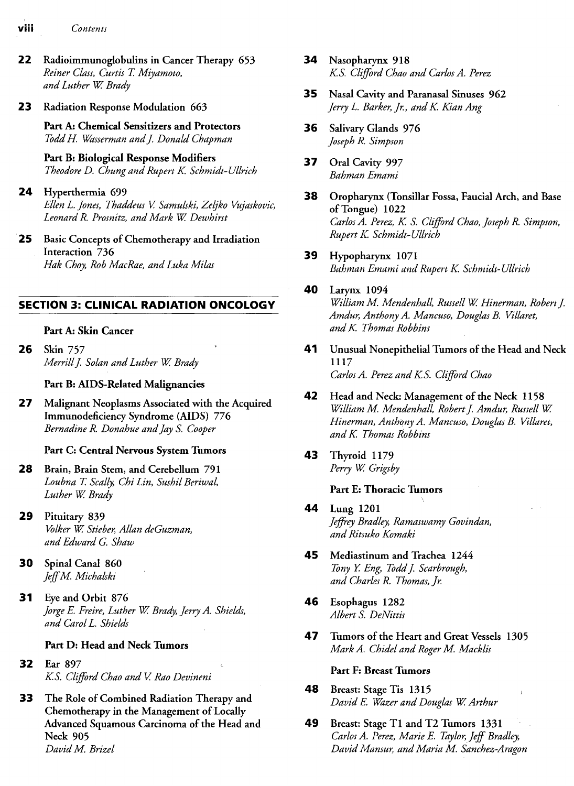- **VIII** *Contents*
- 22 Radioimmunoglobulins in Cancer Therapy 653 *Reiner Class, Curtis T. Miyamoto,* and Luther W. Brady
- 23 Radiation Response Modulation 663

**Part A: Chemical Sensitizers and Protectors** *ToddH. Wasserman and J'. Donald Chapman*

**Part B: Biological Response Modifiers** *Theodore D. Chung and Rupert K Schmidt-Ullrich*

24 Hyperthermia 699

*Ellen L. Jones, Thaddeus V. Samulski, Zeljko Vujaskovic, Leonard R. Prosnitz, and Mark W. Dewhirst*

25 Basic Concepts of Chemotherapy and Irradiation Interaction 736 *Hak Choy, Rob MacRae, and Luka Milas*

#### **SECTION 3: CLINICAL RADIATION ONCOLOGY**

#### **Part A: Skin Cancer**

**26** Skin 757 *Merrill J. Solan and Luther W. Brady*

#### **Part B: AIDS-Related Malignancies**

**27** Malignant Neoplasms Associated with the Acquired Immunodeficiency Syndrome (AIDS) 776 *Bernadine R. Donahue and Jay S. Cooper*

#### **Part C: Central Nervous System Tumors**

- **28** Brain, Brain Stem, and Cerebellum 791 *Loubna T. Scally, Chi Lin, Sushil Beriwal, Luther W. Brady*
- 29 Pituitary 839 *Volker W Stieber, Allan deGuzman, and Edward G. Shaw*
- 30 Spinal Canal 860 *JeffM. Michalski*
- **31** Eye and **Orbit** 876 *Jorge E. Freire, Luther W. Brady, Jerry A. Shields, and Carol L. Shields*

#### **Part D: Head and Neck Tumors**

- **32** Ear 897 *K.S. Clifford Chao and V. Rao Devineni*
- 33 The Role of Combined Radiation Therapy and Chemotherapy in the Management of Locally Advanced Squamous Carcinoma of the Head and Neck 905 *David M. Brizel*
- 34 Nasopharynx 918 *K.S. Clifford Chao and Carlos A. Perez*
- 35 Nasal Cavity and Paranasal Sinuses 962 *Jerry L. Barker, Jr., and K. Kian Ang*
- **36** Salivary Glands 976 *Joseph R. Simpson*
- 37 Oral Cavity 997 *Bahman Emami*
- **38** Oropharynx (Tonsillar Fossa, Faucial Arch, and Base of Tongue) 1022 *Carlos A. Perez, K. S. Clifford Chao, Joseph R. Simpson, Rupert K. Schmidt-Ullrich*

#### 39 Hypopharynx 1071 *Bahman Emami and Rupert K. Schmidt- Ullrich*

- 40 Larynx 1094 *William M. Mendenhall, Russell W. Hinerman, Robert J. Amdur, Anthony A. Mancuso, Douglas B. Villaret, and K. Thomas Robbins*
- 41 Unusual Nonepithelial Tumors of the Head and Neck 1117 *Carlos A. Perez and K.S. Clifford Chao*
- 42 Head and Neck: Management of the Neck 1158 *William M. Mendenhall, Robert J. Amdur, Russell W. Hinerman, Anthony A. Mancuso, Douglas B. Villaret, and K. Thomas Robbins*
- 43 Thyroid 1179 *Perry W. Grigsby*

#### **Part E: Thoracic Tumors**

- **4 4** Lung 1201 *Jeffrey Bradley, Ramaswamy Govinddn, and Ritsuko Komaki*
- **45** Mediastinum and Trachea 1244 *Tony Y. Eng, ToddJ. Scarbrough, and Charles R. Thomas, Jr.*
- 46 Esophagus 1282 *Albert S. DeNittis*
- **47** Tumors of the Heart and Great Vessels 1305 *Mark A. Chidel and Roger M. Macklis*

#### **Part F: Breast Tumors**

- **4 8** Breast: Stage Tis 1315 , *David E. Wazer and Douglas W. Arthur*
- 49 Breast: Stage Tl and T2 Tumors 1331 *Carlos A. Perez, Marie E. Taylor, Jeff Bradley, David Mansur, and Maria M. Sanchez-Aragon*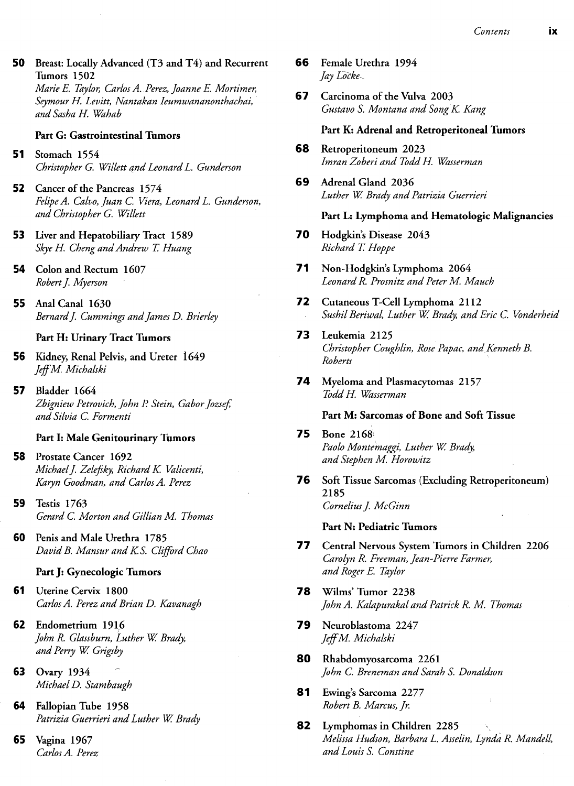50 Breast: Locally Advanced (T3 and T4) and Recurrent Tumors 1502 *Marie E. Taylor, Carlos A. Perez, Joanne E. Mortimer, Seymour H. Levitt, Nantakan Ieumwananonthachai,*

#### **Part G: Gastrointestinal Tumors**

*andSashaH. Wahab*

- **51** Stomach 1554 *Christopher G. Willett and Leonard L. Gunderson*
- 52 Cancer of the Pancreas 1574 *Felipe A. Calvo, Juan C. Viera, Leonard L. Gunderson, and Christopher G. Willett*
- 53 Liver and Hepatobiliary Tract 1589 *Skye H. Cheng and Andrew T. Huang*
- 54 Colon and Rectum 1607 *Robert J. Myerson*
- 55 Anal Canal 1630 *Bernard J. Cummings and James D. Brierley*

#### **Part H: Urinary Tract Tumors**

- **56** Kidney, Renal Pelvis, and Ureter 1649 *JeffM. Michalski*
- 57 Bladder 1664 *Zbigniew Petrovich, John P. Stein, Gabor Jozsefi and Silvia C. Formenti*

#### **Part I: Male Genitourinary Tumors**

- **58** Prostate Cancer 1692 *Michael J. Zelefsky, Richard K. Valicenti, Karyn Goodman, and Carlos A. Perez*
- 59 Testis 1763 *Gerard C. Morton and Gillian M. Thomas*
- 60 Penis and Male Urethra 1785 *DavidB. Mansur andK.S. Clifford Chao*

#### **Part J: Gynecologic Tumors**

- **61** Uterine Cervix 1800 *Carlos A. Perez and Brian D. Kavanagh*
- 62 Endometrium 1916 *John R. Glassburn, Luther W. Brady,* and Perry W. Grigsby
- 63 Ovary 1934 *Michael D. Stambaugh*
- 64 Fallopian Tube 1958 *Patrizia Guerrieri and Luther W. Brady*
- 65 Vagina 1967 *Carlos A. Perez*
- 66 Female Urethra 1994 *Jay Locke^*
- 67 Carcinoma of the Vulva 2003 *Gustavo S. Montana and Song K. Kang*

#### **Part K: Adrenal and Retroperitoneal Tumors**

- **68** Retroperitoneum 2023 *Imran Zoberi and Todd H. Wasserman*
- 69 Adrenal Gland 2036 *Luther W Brady and Patrizia Guerrieri*

#### **Part L: Lymphoma and Hematologic Malignancies**

- **70** Hodgkin's Disease 2043 *Richard T. Hoppe*
- 71 Non-Hodgkin's Lymphoma 2064 *Leonard R. Prosnitz and Peter M. Mauch*
- 72 Cutaneous T-Cell Lymphoma 2112 *Sushil Beriwal, Luther W. Brady, and Eric C. Vonderheid*
- 73 Leukemia 2125 *Christopher Coughlin, Rose Papac, and Kenneth B. Roberts*
- 74 Myeloma and Plasmacytomas 2157 *Todd H. Wasserman*

#### **Part M: Sarcomas of Bone and Soft Tissue**

- **75** Bone 2168^ *Paolo Montemaggi, Luther W. Brady, and Stephen M. Horowitz*
- 76 Soft Tissue Sarcomas (Excluding Retroperitoneum) 2185 *Cornelius J. McGinn*

#### **Part N: Pediatric Tumors**

- **77** Central Nervous System Tumors in Children 2206 *Carolyn R. Freeman, Jean-Pierre Farmer, and Roger E. Taylor*
- 78 Wilms' Tumor 2238 *John A. Kalapurakal and Patrick R. M. Thomas*
- 79 Neuroblastoma 2247 *JeffM. Michalski*
- 80 Rhabdomyosarcoma 2261 *John C. Breneman and Sarah S. Donaldson*
- 81 Ewing's Sarcoma 2277 *Robert B. Marcus, Jr.*
- 82 Lymphomas in Children 2285 *Melissa Hudson, Barbara L. Asselin, Lynda R. Mandell, and Louis S. Constine*